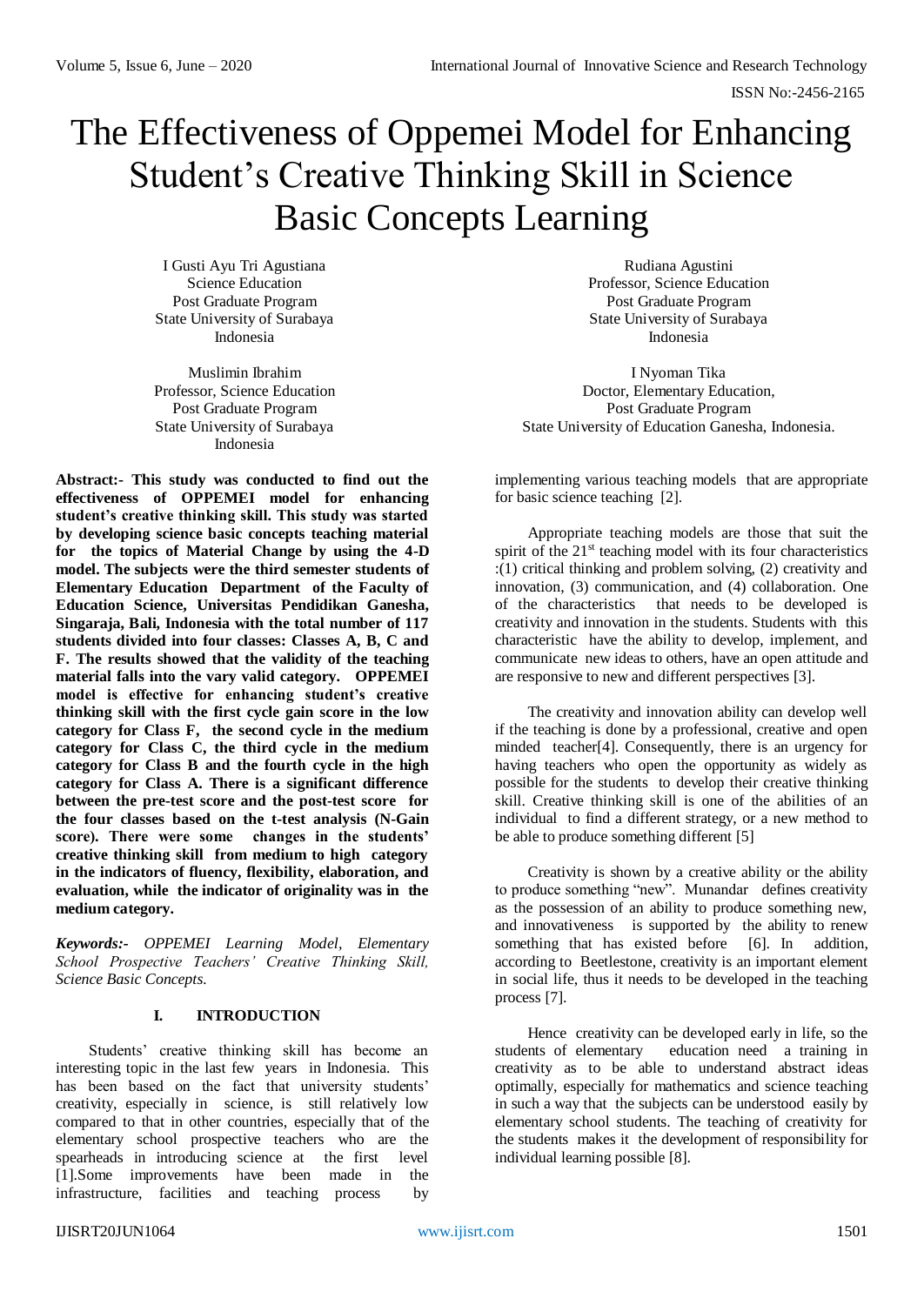# The Effectiveness of Oppemei Model for Enhancing Student's Creative Thinking Skill in Science Basic Concepts Learning

I Gusti Ayu Tri Agustiana Science Education Post Graduate Program State University of Surabaya Indonesia

Muslimin Ibrahim Professor, Science Education Post Graduate Program State University of Surabaya Indonesia

**Abstract:- This study was conducted to find out the effectiveness of OPPEMEI model for enhancing student's creative thinking skill. This study was started by developing science basic concepts teaching material for the topics of Material Change by using the 4-D model. The subjects were the third semester students of Elementary Education Department of the Faculty of Education Science, Universitas Pendidikan Ganesha, Singaraja, Bali, Indonesia with the total number of 117 students divided into four classes: Classes A, B, C and F. The results showed that the validity of the teaching material falls into the vary valid category. OPPEMEI model is effective for enhancing student's creative thinking skill with the first cycle gain score in the low category for Class F, the second cycle in the medium category for Class C, the third cycle in the medium category for Class B and the fourth cycle in the high category for Class A. There is a significant difference between the pre-test score and the post-test score for the four classes based on the t-test analysis (N-Gain score). There were some changes in the students' creative thinking skill from medium to high category in the indicators of fluency, flexibility, elaboration, and evaluation, while the indicator of originality was in the medium category.**

*Keywords:- OPPEMEI Learning Model, Elementary School Prospective Teachers' Creative Thinking Skill, Science Basic Concepts.*

## **I. INTRODUCTION**

Students' creative thinking skill has become an interesting topic in the last few years in Indonesia. This has been based on the fact that university students' creativity, especially in science, is still relatively low compared to that in other countries, especially that of the elementary school prospective teachers who are the spearheads in introducing science at the first level [1].Some improvements have been made in the infrastructure, facilities and teaching process by

Rudiana Agustini Professor, Science Education Post Graduate Program State University of Surabaya Indonesia

I Nyoman Tika Doctor, Elementary Education, Post Graduate Program State University of Education Ganesha, Indonesia.

implementing various teaching models that are appropriate for basic science teaching [2].

Appropriate teaching models are those that suit the spirit of the 21<sup>st</sup> teaching model with its four characteristics :(1) critical thinking and problem solving, (2) creativity and innovation, (3) communication, and (4) collaboration. One of the characteristics that needs to be developed is creativity and innovation in the students. Students with this characteristic have the ability to develop, implement, and communicate new ideas to others, have an open attitude and are responsive to new and different perspectives [3].

The creativity and innovation ability can develop well if the teaching is done by a professional, creative and open minded teacher[4]. Consequently, there is an urgency for having teachers who open the opportunity as widely as possible for the students to develop their creative thinking skill. Creative thinking skill is one of the abilities of an individual to find a different strategy, or a new method to be able to produce something different [5]

Creativity is shown by a creative ability or the ability to produce something "new". Munandar defines creativity as the possession of an ability to produce something new, and innovativeness is supported by the ability to renew something that has existed before [6]. In addition, according to Beetlestone, creativity is an important element in social life, thus it needs to be developed in the teaching process [7].

Hence creativity can be developed early in life, so the students of elementary education need a training in education need a training in creativity as to be able to understand abstract ideas optimally, especially for mathematics and science teaching in such a way that the subjects can be understood easily by elementary school students. The teaching of creativity for the students makes it the development of responsibility for individual learning possible [8].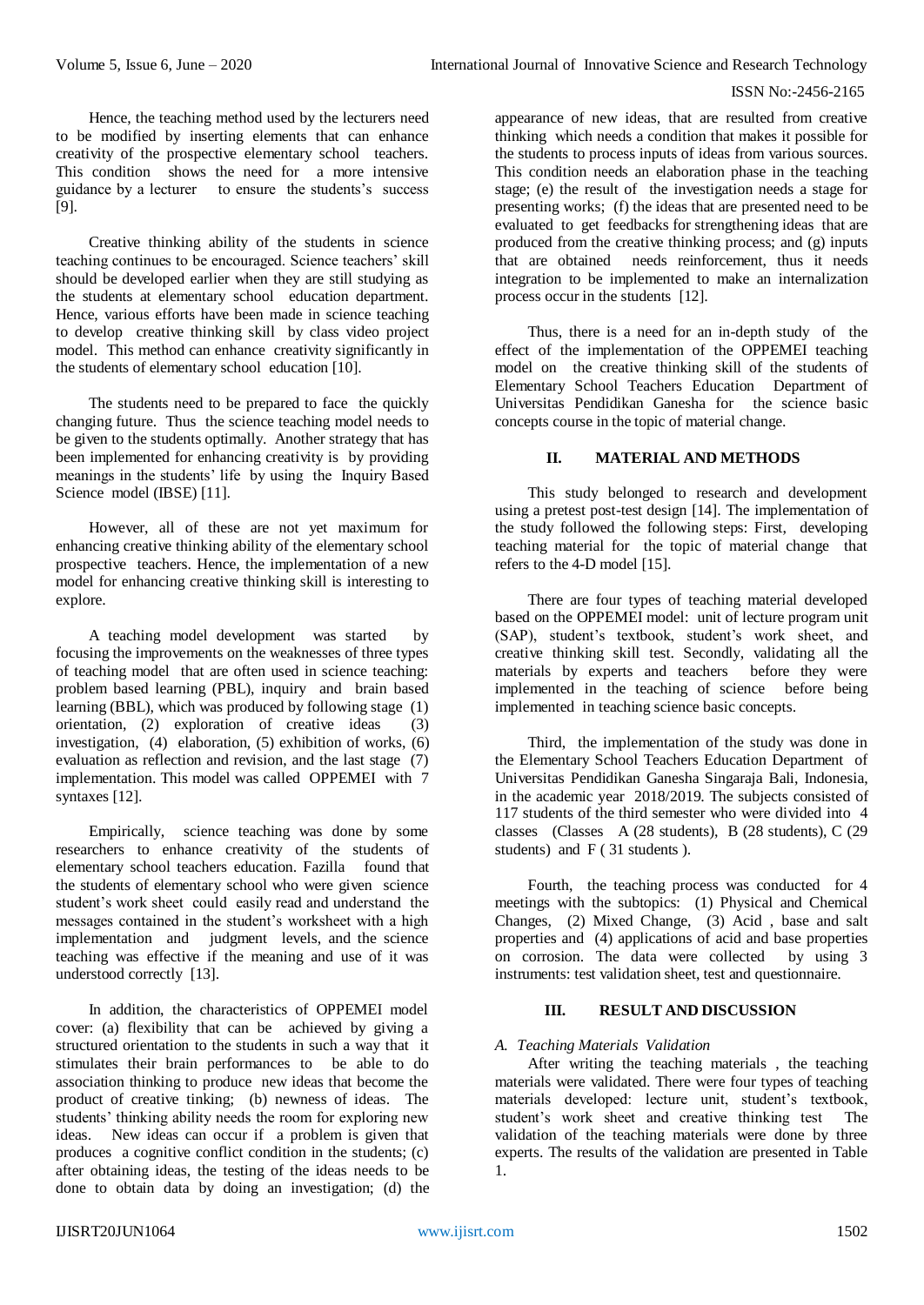Hence, the teaching method used by the lecturers need to be modified by inserting elements that can enhance creativity of the prospective elementary school teachers. This condition shows the need for a more intensive guidance by a lecturer to ensure the students's success [9].

Creative thinking ability of the students in science teaching continues to be encouraged. Science teachers' skill should be developed earlier when they are still studying as the students at elementary school education department. Hence, various efforts have been made in science teaching to develop creative thinking skill by class video project model. This method can enhance creativity significantly in the students of elementary school education [10].

The students need to be prepared to face the quickly changing future. Thus the science teaching model needs to be given to the students optimally. Another strategy that has been implemented for enhancing creativity is by providing meanings in the students' life by using the Inquiry Based Science model (IBSE) [11].

However, all of these are not yet maximum for enhancing creative thinking ability of the elementary school prospective teachers. Hence, the implementation of a new model for enhancing creative thinking skill is interesting to explore.

A teaching model development was started by focusing the improvements on the weaknesses of three types of teaching model that are often used in science teaching: problem based learning (PBL), inquiry and brain based learning (BBL), which was produced by following stage (1) orientation,  $(2)$  exploration of creative ideas  $(3)$ investigation,  $(4)$  elaboration,  $(5)$  exhibition of works,  $(6)$ evaluation as reflection and revision, and the last stage (7) implementation. This model was called OPPEMEI with 7 syntaxes [12].

Empirically, science teaching was done by some researchers to enhance creativity of the students of elementary school teachers education. Fazilla found that the students of elementary school who were given science student's work sheet could easily read and understand the messages contained in the student's worksheet with a high implementation and judgment levels, and the science teaching was effective if the meaning and use of it was understood correctly [13].

In addition, the characteristics of OPPEMEI model cover: (a) flexibility that can be achieved by giving a structured orientation to the students in such a way that it stimulates their brain performances to be able to do association thinking to produce new ideas that become the product of creative tinking; (b) newness of ideas. The students' thinking ability needs the room for exploring new ideas. New ideas can occur if a problem is given that produces a cognitive conflict condition in the students; (c) after obtaining ideas, the testing of the ideas needs to be done to obtain data by doing an investigation; (d) the

appearance of new ideas, that are resulted from creative thinking which needs a condition that makes it possible for the students to process inputs of ideas from various sources. This condition needs an elaboration phase in the teaching stage; (e) the result of the investigation needs a stage for presenting works; (f) the ideas that are presented need to be evaluated to get feedbacks for strengthening ideas that are produced from the creative thinking process; and (g) inputs that are obtained needs reinforcement, thus it needs integration to be implemented to make an internalization process occur in the students [12].

Thus, there is a need for an in-depth study of the effect of the implementation of the OPPEMEI teaching model on the creative thinking skill of the students of Elementary School Teachers Education Department of Universitas Pendidikan Ganesha for the science basic concepts course in the topic of material change.

# **II. MATERIAL AND METHODS**

This study belonged to research and development using a pretest post-test design [14]. The implementation of the study followed the following steps: First, developing teaching material for the topic of material change that refers to the 4-D model [15].

There are four types of teaching material developed based on the OPPEMEI model: unit of lecture program unit (SAP), student's textbook, student's work sheet, and creative thinking skill test. Secondly, validating all the materials by experts and teachers before they were implemented in the teaching of science before being implemented in teaching science basic concepts.

Third, the implementation of the study was done in the Elementary School Teachers Education Department of Universitas Pendidikan Ganesha Singaraja Bali, Indonesia, in the academic year 2018/2019. The subjects consisted of 117 students of the third semester who were divided into 4 classes (Classes A (28 students), B (28 students), C (29 students) and F ( 31 students ).

Fourth, the teaching process was conducted for 4 meetings with the subtopics: (1) Physical and Chemical Changes, (2) Mixed Change, (3) Acid , base and salt properties and (4) applications of acid and base properties on corrosion. The data were collected by using 3 instruments: test validation sheet, test and questionnaire.

# **III. RESULT AND DISCUSSION**

## *A. Teaching Materials Validation*

After writing the teaching materials , the teaching materials were validated. There were four types of teaching materials developed: lecture unit, student's textbook, student's work sheet and creative thinking test The validation of the teaching materials were done by three experts. The results of the validation are presented in Table 1.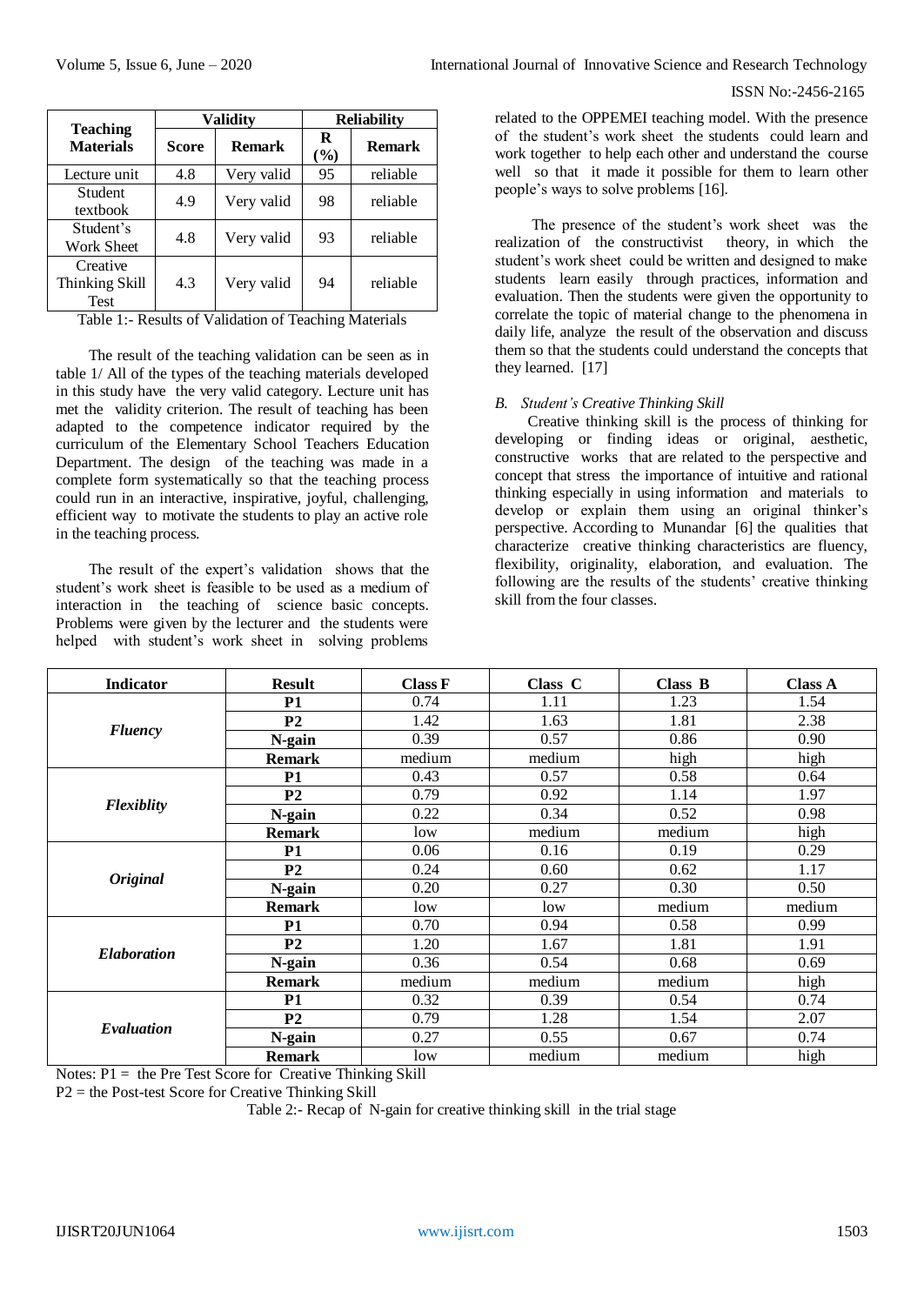| International Journal of Innovative Science and Research Technology |  |  |  |  |
|---------------------------------------------------------------------|--|--|--|--|
|---------------------------------------------------------------------|--|--|--|--|

|                                           | <b>Validity</b> |               | <b>Reliability</b> |               |
|-------------------------------------------|-----------------|---------------|--------------------|---------------|
| <b>Teaching</b><br><b>Materials</b>       | <b>Score</b>    | <b>Remark</b> | R<br>(9/0)         | <b>Remark</b> |
| Lecture unit                              | 4.8             | Very valid    | 95                 | reliable      |
| Student<br>textbook                       | 4.9             | Very valid    | 98                 | reliable      |
| Student's<br><b>Work Sheet</b>            | 4.8             | Very valid    | 93                 | reliable      |
| Creative<br>Thinking Skill<br><b>Test</b> | 4.3             | Very valid    | 94                 | reliable      |

Table 1:- Results of Validation of Teaching Materials

The result of the teaching validation can be seen as in table 1/ All of the types of the teaching materials developed in this study have the very valid category. Lecture unit has met the validity criterion. The result of teaching has been adapted to the competence indicator required by the curriculum of the Elementary School Teachers Education Department. The design of the teaching was made in a complete form systematically so that the teaching process could run in an interactive, inspirative, joyful, challenging, efficient way to motivate the students to play an active role in the teaching process.

The result of the expert's validation shows that the student's work sheet is feasible to be used as a medium of interaction in the teaching of science basic concepts. Problems were given by the lecturer and the students were helped with student's work sheet in solving problems related to the OPPEMEI teaching model. With the presence of the student's work sheet the students could learn and work together to help each other and understand the course well so that it made it possible for them to learn other people's ways to solve problems [16].

The presence of the student's work sheet was the realization of the constructivist theory, in which the student's work sheet could be written and designed to make students learn easily through practices, information and evaluation. Then the students were given the opportunity to correlate the topic of material change to the phenomena in daily life, analyze the result of the observation and discuss them so that the students could understand the concepts that they learned. [17]

## *B. Student's Creative Thinking Skill*

Creative thinking skill is the process of thinking for developing or finding ideas or original, aesthetic, constructive works that are related to the perspective and concept that stress the importance of intuitive and rational thinking especially in using information and materials to develop or explain them using an original thinker's perspective. According to Munandar [6] the qualities that characterize creative thinking characteristics are fluency, flexibility, originality, elaboration, and evaluation. The following are the results of the students' creative thinking skill from the four classes.

| <b>Indicator</b>   | <b>Result</b>  | <b>Class F</b> | Class C | Class B | <b>Class A</b> |
|--------------------|----------------|----------------|---------|---------|----------------|
| <b>Fluency</b>     | <b>P1</b>      | 0.74           | 1.11    | 1.23    | 1.54           |
|                    | P <sub>2</sub> | 1.42           | 1.63    | 1.81    | 2.38           |
|                    | N-gain         | 0.39           | 0.57    | 0.86    | 0.90           |
|                    | <b>Remark</b>  | medium         | medium  | high    | high           |
| <b>Flexiblity</b>  | <b>P1</b>      | 0.43           | 0.57    | 0.58    | 0.64           |
|                    | P <sub>2</sub> | 0.79           | 0.92    | 1.14    | 1.97           |
|                    | N-gain         | 0.22           | 0.34    | 0.52    | 0.98           |
|                    | <b>Remark</b>  | low            | medium  | medium  | high           |
| <b>Original</b>    | <b>P1</b>      | 0.06           | 0.16    | 0.19    | 0.29           |
|                    | P <sub>2</sub> | 0.24           | 0.60    | 0.62    | 1.17           |
|                    | N-gain         | 0.20           | 0.27    | 0.30    | 0.50           |
|                    | <b>Remark</b>  | low            | low     | medium  | medium         |
| <b>Elaboration</b> | <b>P1</b>      | 0.70           | 0.94    | 0.58    | 0.99           |
|                    | P <sub>2</sub> | 1.20           | 1.67    | 1.81    | 1.91           |
|                    | N-gain         | 0.36           | 0.54    | 0.68    | 0.69           |
|                    | <b>Remark</b>  | medium         | medium  | medium  | high           |
| Evaluation         | <b>P1</b>      | 0.32           | 0.39    | 0.54    | 0.74           |
|                    | P <sub>2</sub> | 0.79           | 1.28    | 1.54    | 2.07           |
|                    | N-gain         | 0.27           | 0.55    | 0.67    | 0.74           |
|                    | <b>Remark</b>  | low            | medium  | medium  | high           |

Notes:  $P1 =$  the Pre Test Score for Creative Thinking Skill

P2 = the Post-test Score for Creative Thinking Skill

Table 2:- Recap of N-gain for creative thinking skill in the trial stage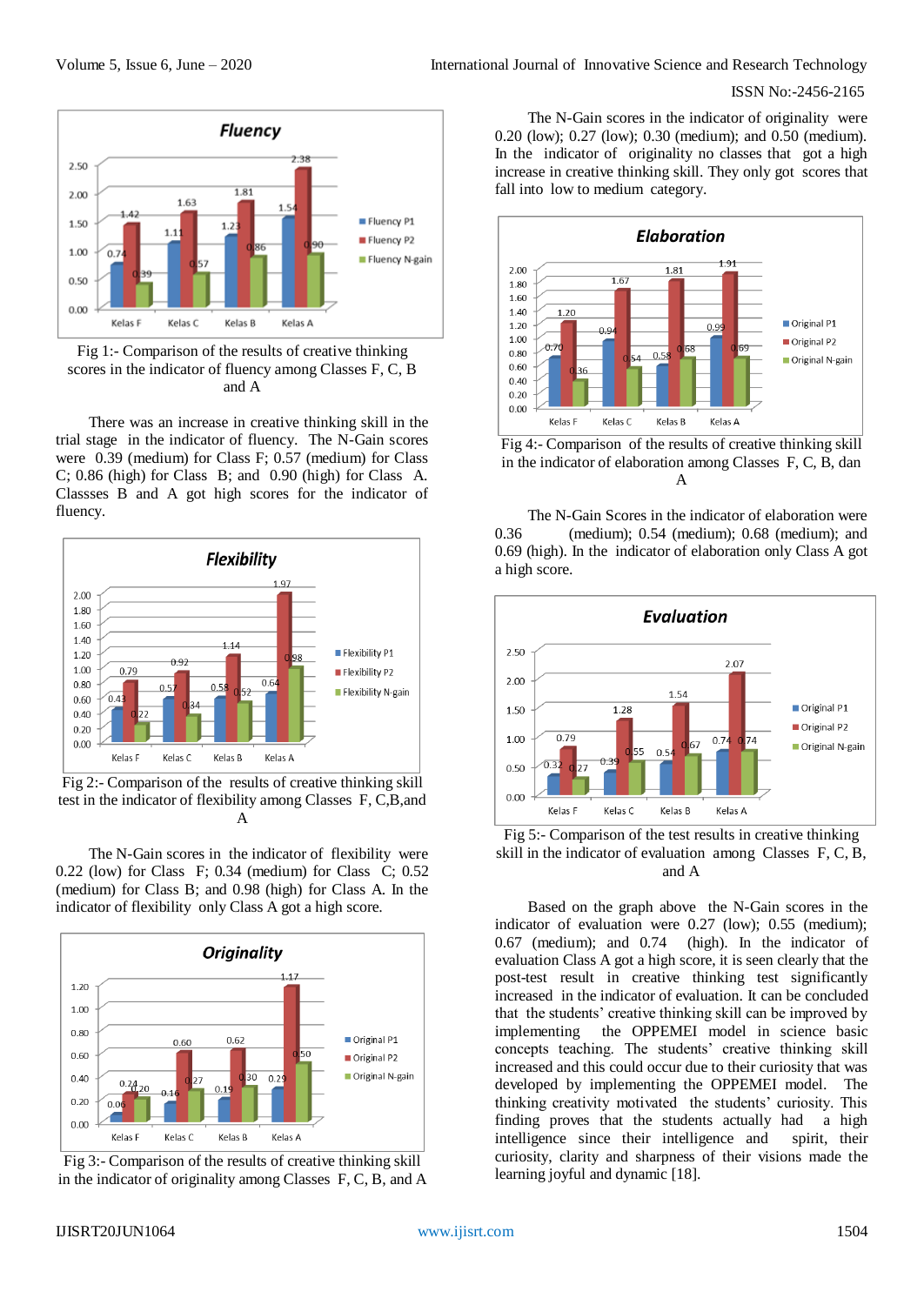

Fig 1:- Comparison of the results of creative thinking scores in the indicator of fluency among Classes F, C, B and A

There was an increase in creative thinking skill in the trial stage in the indicator of fluency. The N-Gain scores were 0.39 (medium) for Class F; 0.57 (medium) for Class C; 0.86 (high) for Class B; and 0.90 (high) for Class A. Classses B and A got high scores for the indicator of fluency.



Fig 2:- Comparison of the results of creative thinking skill test in the indicator of flexibility among Classes F, C,B,and A

The N-Gain scores in the indicator of flexibility were 0.22 (low) for Class F; 0.34 (medium) for Class C; 0.52 (medium) for Class B; and 0.98 (high) for Class A. In the indicator of flexibility only Class A got a high score.



Fig 3:- Comparison of the results of creative thinking skill in the indicator of originality among Classes F, C, B, and A

The N-Gain scores in the indicator of originality were 0.20 (low); 0.27 (low); 0.30 (medium); and 0.50 (medium). In the indicator of originality no classes that got a high increase in creative thinking skill. They only got scores that fall into low to medium category.



Fig 4:- Comparison of the results of creative thinking skill in the indicator of elaboration among Classes F, C, B, dan A

The N-Gain Scores in the indicator of elaboration were 0.36 (medium); 0.54 (medium); 0.68 (medium); and 0.69 (high). In the indicator of elaboration only Class A got a high score.



Fig 5:- Comparison of the test results in creative thinking skill in the indicator of evaluation among Classes F, C, B, and A

Based on the graph above the N-Gain scores in the indicator of evaluation were 0.27 (low); 0.55 (medium); 0.67 (medium); and 0.74 (high). In the indicator of evaluation Class A got a high score, it is seen clearly that the post-test result in creative thinking test significantly increased in the indicator of evaluation. It can be concluded that the students' creative thinking skill can be improved by implementing the OPPEMEI model in science basic concepts teaching. The students' creative thinking skill increased and this could occur due to their curiosity that was developed by implementing the OPPEMEI model. The thinking creativity motivated the students' curiosity. This finding proves that the students actually had a high intelligence since their intelligence and spirit, their curiosity, clarity and sharpness of their visions made the learning joyful and dynamic [18].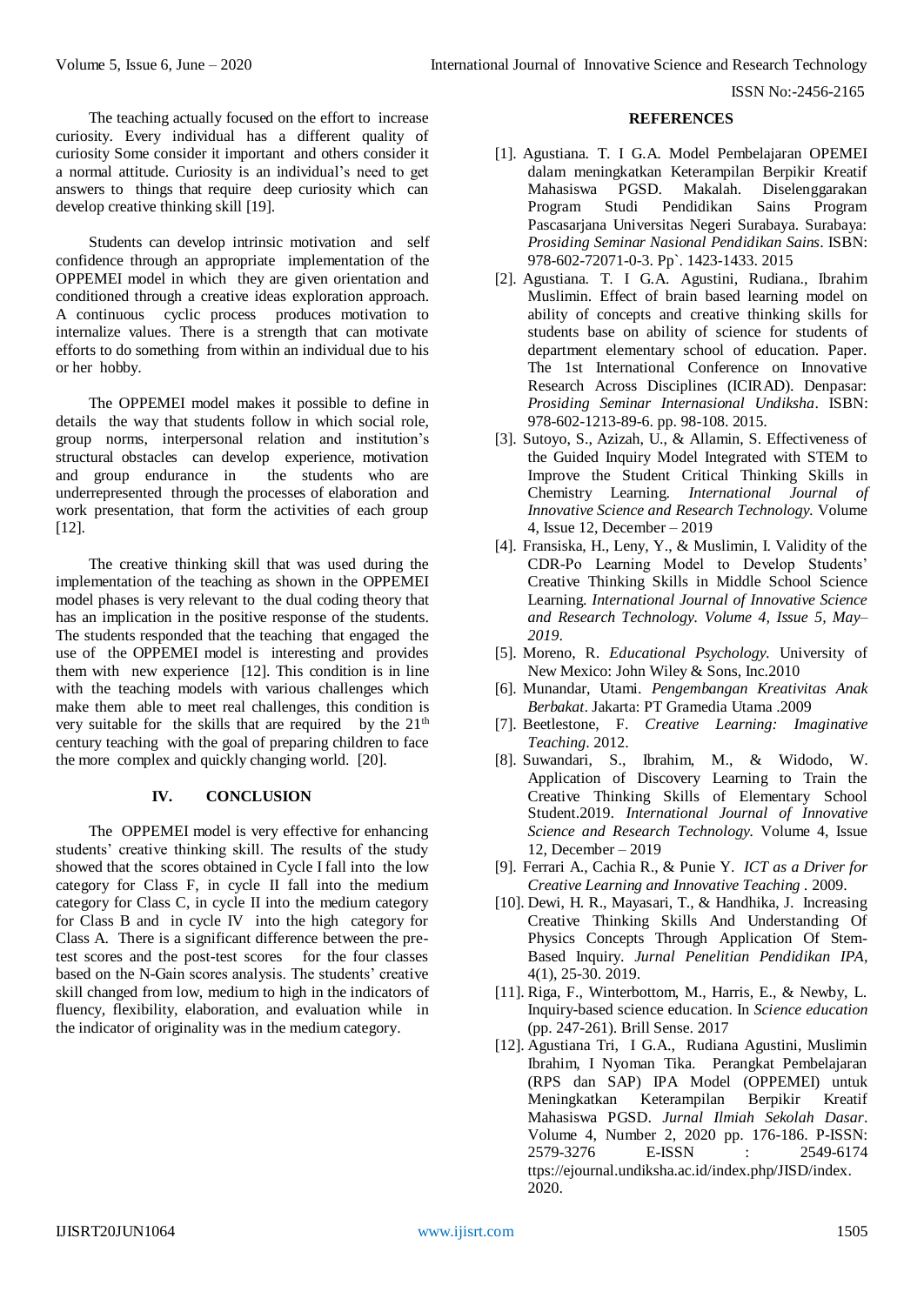The teaching actually focused on the effort to increase curiosity. Every individual has a different quality of curiosity Some consider it important and others consider it a normal attitude. Curiosity is an individual's need to get answers to things that require deep curiosity which can develop creative thinking skill [19].

Students can develop intrinsic motivation and self confidence through an appropriate implementation of the OPPEMEI model in which they are given orientation and conditioned through a creative ideas exploration approach. A continuous cyclic process produces motivation to internalize values. There is a strength that can motivate efforts to do something from within an individual due to his or her hobby.

The OPPEMEI model makes it possible to define in details the way that students follow in which social role, group norms, interpersonal relation and institution's structural obstacles can develop experience, motivation and group endurance in the students who are underrepresented through the processes of elaboration and work presentation, that form the activities of each group [12].

The creative thinking skill that was used during the implementation of the teaching as shown in the OPPEMEI model phases is very relevant to the dual coding theory that has an implication in the positive response of the students. The students responded that the teaching that engaged the use of the OPPEMEI model is interesting and provides them with new experience [12]. This condition is in line with the teaching models with various challenges which make them able to meet real challenges, this condition is very suitable for the skills that are required by the  $21<sup>th</sup>$ century teaching with the goal of preparing children to face the more complex and quickly changing world. [20].

# **IV. CONCLUSION**

The OPPEMEI model is very effective for enhancing students' creative thinking skill. The results of the study showed that the scores obtained in Cycle I fall into the low category for Class F, in cycle II fall into the medium category for Class C, in cycle II into the medium category for Class B and in cycle IV into the high category for Class A. There is a significant difference between the pretest scores and the post-test scores for the four classes based on the N-Gain scores analysis. The students' creative skill changed from low, medium to high in the indicators of fluency, flexibility, elaboration, and evaluation while in the indicator of originality was in the medium category.

## **REFERENCES**

- [1]. Agustiana. T. I G.A. Model Pembelajaran OPEMEI dalam meningkatkan Keterampilan Berpikir Kreatif Mahasiswa PGSD. Makalah. Diselenggarakan Program Studi Pendidikan Sains Program Pascasarjana Universitas Negeri Surabaya. Surabaya: *Prosiding Seminar Nasional Pendidikan Sains*. ISBN: 978-602-72071-0-3. Pp`. 1423-1433. 2015
- [2]. Agustiana. T. I G.A. Agustini, Rudiana., Ibrahim Muslimin. Effect of brain based learning model on ability of concepts and creative thinking skills for students base on ability of science for students of department elementary school of education. Paper. The 1st International Conference on Innovative Research Across Disciplines (ICIRAD). Denpasar: *Prosiding Seminar Internasional Undiksha*. ISBN: 978-602-1213-89-6. pp. 98-108. 2015.
- [3]. Sutoyo, S., Azizah, U., & Allamin, S. Effectiveness of the Guided Inquiry Model Integrated with STEM to Improve the Student Critical Thinking Skills in Chemistry Learning. *International Journal of Innovative Science and Research Technology.* Volume 4, Issue 12, December – 2019
- [4]. Fransiska, H., Leny, Y., & Muslimin, I. Validity of the CDR-Po Learning Model to Develop Students' Creative Thinking Skills in Middle School Science Learning. *International Journal of Innovative Science and Research Technology. Volume 4, Issue 5, May– 2019*.
- [5]. Moreno, R. *Educational Psychology.* University of New Mexico: John Wiley & Sons, Inc.2010
- [6]. Munandar, Utami. *Pengembangan Kreativitas Anak Berbakat*. Jakarta: PT Gramedia Utama .2009
- [7]. Beetlestone, F. *Creative Learning: Imaginative Teaching*. 2012.
- [8]. Suwandari, S., Ibrahim, M., & Widodo, W. Application of Discovery Learning to Train the Creative Thinking Skills of Elementary School Student.2019. *International Journal of Innovative Science and Research Technology.* Volume 4, Issue 12, December – 2019
- [9]. Ferrari A., Cachia R., & Punie Y. *ICT as a Driver for Creative Learning and Innovative Teaching .* 2009.
- [10]. Dewi, H. R., Mayasari, T., & Handhika, J. Increasing Creative Thinking Skills And Understanding Of Physics Concepts Through Application Of Stem-Based Inquiry. *Jurnal Penelitian Pendidikan IPA*, 4(1), 25-30. 2019.
- [11]. Riga, F., Winterbottom, M., Harris, E., & Newby, L. Inquiry-based science education. In *Science education* (pp. 247-261). Brill Sense. 2017
- [12]. Agustiana Tri, I G.A., Rudiana Agustini, Muslimin Ibrahim, I Nyoman Tika. Perangkat Pembelajaran (RPS dan SAP) IPA Model (OPPEMEI) untuk Meningkatkan Keterampilan Berpikir Kreatif Mahasiswa PGSD. *Jurnal Ilmiah Sekolah Dasar*. Volume 4, Number 2, 2020 pp. 176-186. P-ISSN: 2579-3276 E-ISSN : 2549-6174 ttps://ejournal.undiksha.ac.id/index.php/JISD/index. 2020.